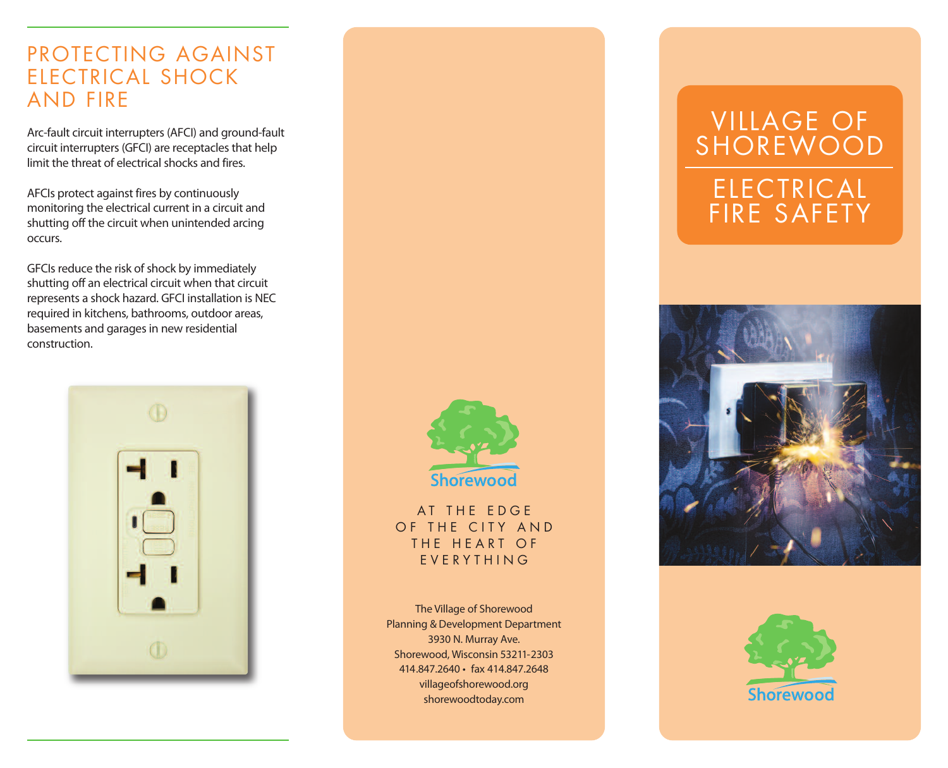## PROTECTING AGAINST ELECTRICAL SHOCK AND FIRE

Arc-fault circuit interrupters(AFCI) and ground-fault circuit interrupters (GFCI) are receptacles that help limit the threat of electrical shocks and fires.

AFCIs protect against fires by continuously monitoring the electrical current in a circuit and shutting off the circuit when unintended arcing occurs.

GFCIs reduce the risk of shock by immediately shutting off an electrical circuit when that circuit represents a shock hazard. GFCI installation is NEC required in kitchens, bathrooms, outdoor areas, basements and garages in new residential construction.





AT THE EDGE OF THE CITY AND THE HEART OF E V E R Y T H I N G

The Village of Shorewood Planning & Development Department 3930 N. Murray Ave. Shorewood, Wisconsin 53211-2303 414.847.2640 • fax 414.847.2648 villageofshorewood.org shorewoodtoday.com

# VILLAGE OF SHOREWOOD ELECTRICAL FIRE SAFETY